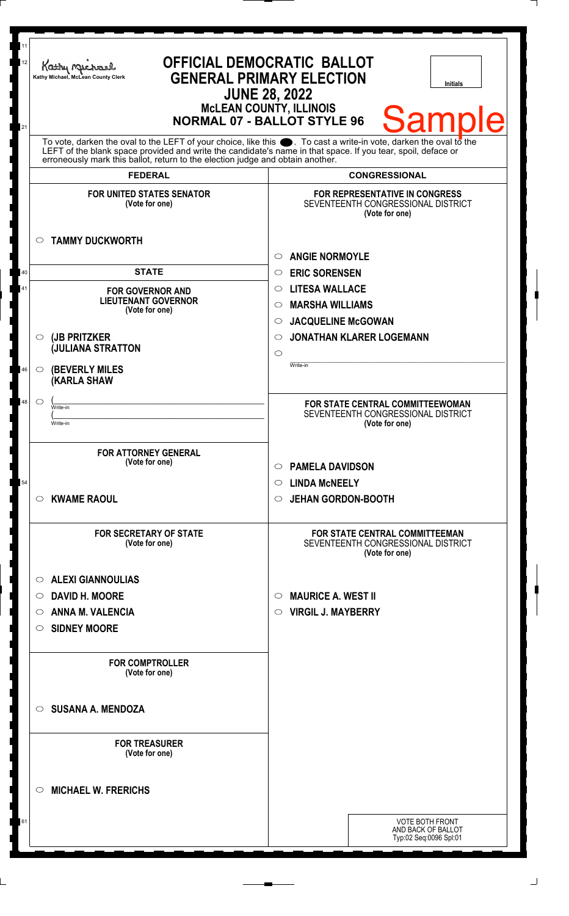| 11<br>12<br>21 | Kathy Macharel<br>Kathy Michael, McLean County Clerk                                                                                                                                                                                                                                                                   | <b>OFFICIAL DEMOCRATIC BALLOT</b><br><b>GENERAL PRIMARY ELECTION</b><br><b>Initials</b><br><b>JUNE 28, 2022</b><br><b>McLEAN COUNTY, ILLINOIS</b><br><b>Samp</b><br><b>NORMAL 07 - BALLOT STYLE 96</b> |
|----------------|------------------------------------------------------------------------------------------------------------------------------------------------------------------------------------------------------------------------------------------------------------------------------------------------------------------------|--------------------------------------------------------------------------------------------------------------------------------------------------------------------------------------------------------|
|                | To vote, darken the oval to the LEFT of your choice, like this $\bullet$ . To cast a write-in vote, darken the oval to the LEFT of the boral to the LEFT of the blank space provided and write the candidate's name in that space. I<br>erroneously mark this ballot, return to the election judge and obtain another. |                                                                                                                                                                                                        |
|                | <b>FEDERAL</b>                                                                                                                                                                                                                                                                                                         | <b>CONGRESSIONAL</b>                                                                                                                                                                                   |
|                | <b>FOR UNITED STATES SENATOR</b><br>(Vote for one)<br><b>TAMMY DUCKWORTH</b><br>$\circ$                                                                                                                                                                                                                                | FOR REPRESENTATIVE IN CONGRESS<br>SEVENTEENTH CONGRESSIONAL DISTRICT<br>(Vote for one)                                                                                                                 |
|                |                                                                                                                                                                                                                                                                                                                        | <b>ANGIE NORMOYLE</b><br>$\circ$                                                                                                                                                                       |
| 40             | <b>STATE</b>                                                                                                                                                                                                                                                                                                           | <b>ERIC SORENSEN</b><br>$\circ$                                                                                                                                                                        |
| 41             | <b>FOR GOVERNOR AND</b>                                                                                                                                                                                                                                                                                                | <b>LITESA WALLACE</b><br>$\circ$                                                                                                                                                                       |
|                | <b>LIEUTENANT GOVERNOR</b><br>(Vote for one)                                                                                                                                                                                                                                                                           | <b>MARSHA WILLIAMS</b><br>$\circ$                                                                                                                                                                      |
|                |                                                                                                                                                                                                                                                                                                                        | <b>JACQUELINE McGOWAN</b><br>$\circ$                                                                                                                                                                   |
|                | (JB PRITZKER<br>$\circ$                                                                                                                                                                                                                                                                                                | <b>JONATHAN KLARER LOGEMANN</b><br>$\circ$                                                                                                                                                             |
|                | <b>JULIANA STRATTON</b>                                                                                                                                                                                                                                                                                                | $\circ$                                                                                                                                                                                                |
| 46             | <b>(BEVERLY MILES)</b><br>$\circ$<br><b>(KARLA SHAW</b>                                                                                                                                                                                                                                                                | Write-in                                                                                                                                                                                               |
| 48             | $\circ$<br>Write-in                                                                                                                                                                                                                                                                                                    | FOR STATE CENTRAL COMMITTEEWOMAN                                                                                                                                                                       |
|                | Write-in                                                                                                                                                                                                                                                                                                               | SEVENTEENTH CONGRESSIONAL DISTRICT<br>(Vote for one)                                                                                                                                                   |
|                |                                                                                                                                                                                                                                                                                                                        |                                                                                                                                                                                                        |
|                | <b>FOR ATTORNEY GENERAL</b>                                                                                                                                                                                                                                                                                            |                                                                                                                                                                                                        |
|                | (Vote for one)                                                                                                                                                                                                                                                                                                         | <b>PAMELA DAVIDSON</b><br>$\circ$                                                                                                                                                                      |
| 54             |                                                                                                                                                                                                                                                                                                                        | <b>LINDA MCNEELY</b><br>$\circ$                                                                                                                                                                        |
|                | <b>KWAME RAOUL</b><br>$\circ$                                                                                                                                                                                                                                                                                          | <b>JEHAN GORDON-BOOTH</b><br>$\circ$                                                                                                                                                                   |
|                | <b>FOR SECRETARY OF STATE</b><br>(Vote for one)                                                                                                                                                                                                                                                                        | <b>FOR STATE CENTRAL COMMITTEEMAN</b><br>SEVENTEENTH CONGRESSIONAL DISTRICT<br>(Vote for one)                                                                                                          |
|                | <b>ALEXI GIANNOULIAS</b><br>$\circ$                                                                                                                                                                                                                                                                                    |                                                                                                                                                                                                        |
|                | <b>DAVID H. MOORE</b><br>$\circ$                                                                                                                                                                                                                                                                                       | <b>MAURICE A. WEST II</b><br>$\circ$                                                                                                                                                                   |
|                | <b>ANNA M. VALENCIA</b><br>O                                                                                                                                                                                                                                                                                           | <b>VIRGIL J. MAYBERRY</b><br>$\circ$                                                                                                                                                                   |
|                | <b>SIDNEY MOORE</b><br>O                                                                                                                                                                                                                                                                                               |                                                                                                                                                                                                        |
|                | <b>FOR COMPTROLLER</b><br>(Vote for one)                                                                                                                                                                                                                                                                               |                                                                                                                                                                                                        |
|                |                                                                                                                                                                                                                                                                                                                        |                                                                                                                                                                                                        |
|                | <b>SUSANA A. MENDOZA</b><br>$\circ$                                                                                                                                                                                                                                                                                    |                                                                                                                                                                                                        |
|                | <b>FOR TREASURER</b>                                                                                                                                                                                                                                                                                                   |                                                                                                                                                                                                        |
|                | (Vote for one)                                                                                                                                                                                                                                                                                                         |                                                                                                                                                                                                        |
|                | <b>MICHAEL W. FRERICHS</b><br>◯                                                                                                                                                                                                                                                                                        |                                                                                                                                                                                                        |
|                |                                                                                                                                                                                                                                                                                                                        |                                                                                                                                                                                                        |
| 61             |                                                                                                                                                                                                                                                                                                                        | <b>VOTE BOTH FRONT</b><br>AND BACK OF BALLOT                                                                                                                                                           |
|                |                                                                                                                                                                                                                                                                                                                        | Typ:02 Seq:0096 Spl:01                                                                                                                                                                                 |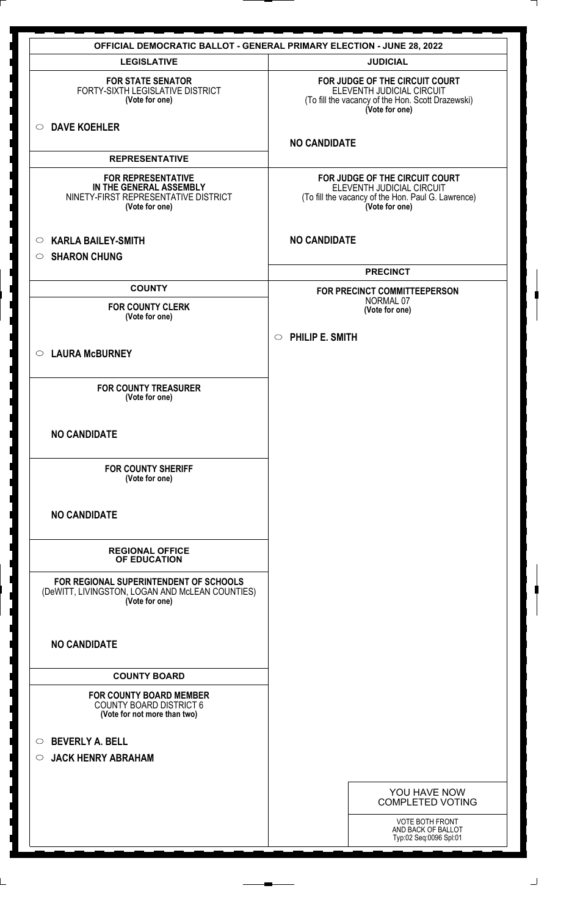|                                                                                                                | <b>OFFICIAL DEMOCRATIC BALLOT - GENERAL PRIMARY ELECTION - JUNE 28, 2022</b>                                                        |
|----------------------------------------------------------------------------------------------------------------|-------------------------------------------------------------------------------------------------------------------------------------|
| <b>LEGISLATIVE</b>                                                                                             | <b>JUDICIAL</b>                                                                                                                     |
| <b>FOR STATE SENATOR</b><br>FORTY-SIXTH LEGISLATIVE DISTRICT<br>(Vote for one)                                 | FOR JUDGE OF THE CIRCUIT COURT<br>ELEVENTH JUDICIAL CIRCUIT<br>(To fill the vacancy of the Hon. Scott Drazewski)<br>(Vote for one)  |
| <b>DAVE KOEHLER</b><br>$\circ$                                                                                 | <b>NO CANDIDATE</b>                                                                                                                 |
| <b>REPRESENTATIVE</b>                                                                                          |                                                                                                                                     |
| <b>FOR REPRESENTATIVE</b><br>IN THE GENERAL ASSEMBLY<br>NINETY-FIRST REPRESENTATIVE DISTRICT<br>(Vote for one) | FOR JUDGE OF THE CIRCUIT COURT<br>ELEVENTH JUDICIAL CIRCUIT<br>(To fill the vacancy of the Hon. Paul G. Lawrence)<br>(Vote for one) |
| <b>KARLA BAILEY-SMITH</b><br>$\circ$                                                                           | <b>NO CANDIDATE</b>                                                                                                                 |
| <b>SHARON CHUNG</b><br>$\circ$                                                                                 |                                                                                                                                     |
|                                                                                                                | <b>PRECINCT</b>                                                                                                                     |
| <b>COUNTY</b>                                                                                                  | FOR PRECINCT COMMITTEEPERSON<br>NORMAL 07                                                                                           |
| <b>FOR COUNTY CLERK</b><br>(Vote for one)                                                                      | (Vote for one)                                                                                                                      |
|                                                                                                                | $\circ$ PHILIP E. SMITH                                                                                                             |
| <b>LAURA McBURNEY</b><br>$\circ$                                                                               |                                                                                                                                     |
| <b>FOR COUNTY TREASURER</b><br>(Vote for one)                                                                  |                                                                                                                                     |
| <b>NO CANDIDATE</b>                                                                                            |                                                                                                                                     |
| <b>FOR COUNTY SHERIFF</b><br>(Vote for one)                                                                    |                                                                                                                                     |
| <b>NO CANDIDATE</b>                                                                                            |                                                                                                                                     |
| <b>REGIONAL OFFICE</b><br>OF EDUCATION                                                                         |                                                                                                                                     |
| FOR REGIONAL SUPERINTENDENT OF SCHOOLS<br>(DeWITT, LIVINGSTON, LOGAN AND McLEAN COUNTIES)<br>(Vote for one)    |                                                                                                                                     |
| <b>NO CANDIDATE</b>                                                                                            |                                                                                                                                     |
| <b>COUNTY BOARD</b>                                                                                            |                                                                                                                                     |
| <b>FOR COUNTY BOARD MEMBER</b><br><b>COUNTY BOARD DISTRICT 6</b><br>(Vote for not more than two)               |                                                                                                                                     |
| <b>BEVERLY A. BELL</b><br>$\circ$<br><b>JACK HENRY ABRAHAM</b><br>$\circ$                                      |                                                                                                                                     |
|                                                                                                                | YOU HAVE NOW                                                                                                                        |
|                                                                                                                | <b>COMPLETED VOTING</b>                                                                                                             |
|                                                                                                                | <b>VOTE BOTH FRONT</b><br>AND BACK OF BALLOT<br>Typ:02 Seq:0096 Spl:01                                                              |
|                                                                                                                |                                                                                                                                     |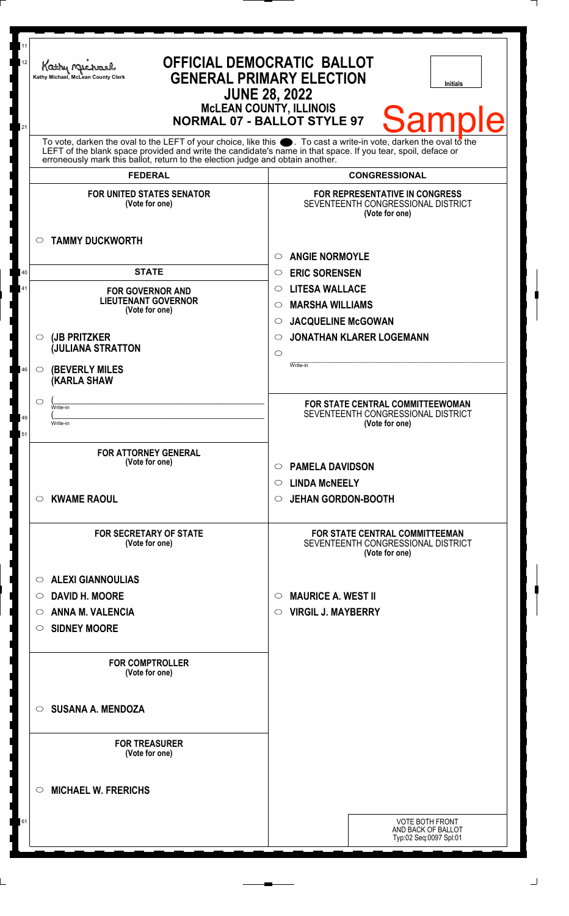| To vote, darken the oval to the LEFT of your choice, like this $\bullet$ . To cast a write-in vote, darken the oval to the LEFT of the blank space provided and write the candidate's name in that space. If you tear, spoil, deface<br>erroneously mark this ballot, return to the election judge and obtain another.<br><b>FEDERAL</b><br><b>CONGRESSIONAL</b><br><b>FOR UNITED STATES SENATOR</b><br><b>FOR REPRESENTATIVE IN CONGRESS</b><br>SEVENTEENTH CONGRESSIONAL DISTRICT<br>(Vote for one)<br>(Vote for one)<br><b>TAMMY DUCKWORTH</b><br>$\circ$<br><b>ANGIE NORMOYLE</b><br>O<br><b>STATE</b><br><b>ERIC SORENSEN</b><br>40<br>$\circ$<br><b>LITESA WALLACE</b><br>41<br>$\circ$<br><b>FOR GOVERNOR AND</b><br><b>LIEUTENANT GOVERNOR</b><br><b>MARSHA WILLIAMS</b><br>$\circ$<br>(Vote for one)<br><b>JACQUELINE McGOWAN</b><br>$\circ$<br><b>JONATHAN KLARER LOGEMANN</b><br>(JB PRITZKER<br>$\circ$<br>$\circ$<br><b>JULIANA STRATTON</b><br>$\circ$<br>Write-in<br><b>(BEVERLY MILES</b><br>46<br>$\circ$<br><b>(KARLA SHAW</b><br>◯<br>FOR STATE CENTRAL COMMITTEEWOMAN<br>Write-in<br>SEVENTEENTH CONGRESSIONAL DISTRICT<br>49<br>(Vote for one)<br>Write-in<br>51<br><b>FOR ATTORNEY GENERAL</b><br>(Vote for one)<br><b>PAMELA DAVIDSON</b><br>$\circ$<br><b>LINDA MCNEELY</b><br>$\circ$<br><b>KWAME RAOUL</b><br><b>JEHAN GORDON-BOOTH</b><br>$\circ$<br>$\circ$<br><b>FOR SECRETARY OF STATE</b><br><b>FOR STATE CENTRAL COMMITTEEMAN</b><br>SEVENTEENTH CONGRESSIONAL DISTRICT<br>(Vote for one)<br>(Vote for one)<br><b>ALEXI GIANNOULIAS</b><br>$\circ$<br><b>DAVID H. MOORE</b><br><b>MAURICE A. WEST II</b><br>$\circ$<br>$\circ$<br><b>ANNA M. VALENCIA</b><br><b>VIRGIL J. MAYBERRY</b><br>$\circ$<br>O<br><b>SIDNEY MOORE</b><br>O<br><b>FOR COMPTROLLER</b><br>(Vote for one)<br><b>SUSANA A. MENDOZA</b><br>◯<br><b>FOR TREASURER</b><br>(Vote for one)<br><b>MICHAEL W. FRERICHS</b><br>◯ | 11<br>12<br>Kathy Michael<br>Kathy Michael, McLean County Clerk<br>21 | <b>OFFICIAL DEMOCRATIC BALLOT</b><br><b>GENERAL PRIMARY ELECTION</b><br><b>Initials</b><br><b>JUNE 28, 2022</b><br><b>MCLEAN COUNTY, ILLINOIS</b><br><b>Samp</b><br><b>NORMAL 07 - BALLOT STYLE 97</b> |
|------------------------------------------------------------------------------------------------------------------------------------------------------------------------------------------------------------------------------------------------------------------------------------------------------------------------------------------------------------------------------------------------------------------------------------------------------------------------------------------------------------------------------------------------------------------------------------------------------------------------------------------------------------------------------------------------------------------------------------------------------------------------------------------------------------------------------------------------------------------------------------------------------------------------------------------------------------------------------------------------------------------------------------------------------------------------------------------------------------------------------------------------------------------------------------------------------------------------------------------------------------------------------------------------------------------------------------------------------------------------------------------------------------------------------------------------------------------------------------------------------------------------------------------------------------------------------------------------------------------------------------------------------------------------------------------------------------------------------------------------------------------------------------------------------------------------------------------------------------------------------------------------------------------------------|-----------------------------------------------------------------------|--------------------------------------------------------------------------------------------------------------------------------------------------------------------------------------------------------|
|                                                                                                                                                                                                                                                                                                                                                                                                                                                                                                                                                                                                                                                                                                                                                                                                                                                                                                                                                                                                                                                                                                                                                                                                                                                                                                                                                                                                                                                                                                                                                                                                                                                                                                                                                                                                                                                                                                                              |                                                                       |                                                                                                                                                                                                        |
|                                                                                                                                                                                                                                                                                                                                                                                                                                                                                                                                                                                                                                                                                                                                                                                                                                                                                                                                                                                                                                                                                                                                                                                                                                                                                                                                                                                                                                                                                                                                                                                                                                                                                                                                                                                                                                                                                                                              |                                                                       |                                                                                                                                                                                                        |
|                                                                                                                                                                                                                                                                                                                                                                                                                                                                                                                                                                                                                                                                                                                                                                                                                                                                                                                                                                                                                                                                                                                                                                                                                                                                                                                                                                                                                                                                                                                                                                                                                                                                                                                                                                                                                                                                                                                              |                                                                       |                                                                                                                                                                                                        |
|                                                                                                                                                                                                                                                                                                                                                                                                                                                                                                                                                                                                                                                                                                                                                                                                                                                                                                                                                                                                                                                                                                                                                                                                                                                                                                                                                                                                                                                                                                                                                                                                                                                                                                                                                                                                                                                                                                                              |                                                                       |                                                                                                                                                                                                        |
|                                                                                                                                                                                                                                                                                                                                                                                                                                                                                                                                                                                                                                                                                                                                                                                                                                                                                                                                                                                                                                                                                                                                                                                                                                                                                                                                                                                                                                                                                                                                                                                                                                                                                                                                                                                                                                                                                                                              |                                                                       |                                                                                                                                                                                                        |
|                                                                                                                                                                                                                                                                                                                                                                                                                                                                                                                                                                                                                                                                                                                                                                                                                                                                                                                                                                                                                                                                                                                                                                                                                                                                                                                                                                                                                                                                                                                                                                                                                                                                                                                                                                                                                                                                                                                              |                                                                       |                                                                                                                                                                                                        |
|                                                                                                                                                                                                                                                                                                                                                                                                                                                                                                                                                                                                                                                                                                                                                                                                                                                                                                                                                                                                                                                                                                                                                                                                                                                                                                                                                                                                                                                                                                                                                                                                                                                                                                                                                                                                                                                                                                                              |                                                                       |                                                                                                                                                                                                        |
|                                                                                                                                                                                                                                                                                                                                                                                                                                                                                                                                                                                                                                                                                                                                                                                                                                                                                                                                                                                                                                                                                                                                                                                                                                                                                                                                                                                                                                                                                                                                                                                                                                                                                                                                                                                                                                                                                                                              |                                                                       |                                                                                                                                                                                                        |
|                                                                                                                                                                                                                                                                                                                                                                                                                                                                                                                                                                                                                                                                                                                                                                                                                                                                                                                                                                                                                                                                                                                                                                                                                                                                                                                                                                                                                                                                                                                                                                                                                                                                                                                                                                                                                                                                                                                              |                                                                       |                                                                                                                                                                                                        |
|                                                                                                                                                                                                                                                                                                                                                                                                                                                                                                                                                                                                                                                                                                                                                                                                                                                                                                                                                                                                                                                                                                                                                                                                                                                                                                                                                                                                                                                                                                                                                                                                                                                                                                                                                                                                                                                                                                                              |                                                                       |                                                                                                                                                                                                        |
|                                                                                                                                                                                                                                                                                                                                                                                                                                                                                                                                                                                                                                                                                                                                                                                                                                                                                                                                                                                                                                                                                                                                                                                                                                                                                                                                                                                                                                                                                                                                                                                                                                                                                                                                                                                                                                                                                                                              |                                                                       |                                                                                                                                                                                                        |
|                                                                                                                                                                                                                                                                                                                                                                                                                                                                                                                                                                                                                                                                                                                                                                                                                                                                                                                                                                                                                                                                                                                                                                                                                                                                                                                                                                                                                                                                                                                                                                                                                                                                                                                                                                                                                                                                                                                              |                                                                       |                                                                                                                                                                                                        |
|                                                                                                                                                                                                                                                                                                                                                                                                                                                                                                                                                                                                                                                                                                                                                                                                                                                                                                                                                                                                                                                                                                                                                                                                                                                                                                                                                                                                                                                                                                                                                                                                                                                                                                                                                                                                                                                                                                                              |                                                                       |                                                                                                                                                                                                        |
|                                                                                                                                                                                                                                                                                                                                                                                                                                                                                                                                                                                                                                                                                                                                                                                                                                                                                                                                                                                                                                                                                                                                                                                                                                                                                                                                                                                                                                                                                                                                                                                                                                                                                                                                                                                                                                                                                                                              |                                                                       |                                                                                                                                                                                                        |
|                                                                                                                                                                                                                                                                                                                                                                                                                                                                                                                                                                                                                                                                                                                                                                                                                                                                                                                                                                                                                                                                                                                                                                                                                                                                                                                                                                                                                                                                                                                                                                                                                                                                                                                                                                                                                                                                                                                              |                                                                       |                                                                                                                                                                                                        |
|                                                                                                                                                                                                                                                                                                                                                                                                                                                                                                                                                                                                                                                                                                                                                                                                                                                                                                                                                                                                                                                                                                                                                                                                                                                                                                                                                                                                                                                                                                                                                                                                                                                                                                                                                                                                                                                                                                                              |                                                                       |                                                                                                                                                                                                        |
|                                                                                                                                                                                                                                                                                                                                                                                                                                                                                                                                                                                                                                                                                                                                                                                                                                                                                                                                                                                                                                                                                                                                                                                                                                                                                                                                                                                                                                                                                                                                                                                                                                                                                                                                                                                                                                                                                                                              |                                                                       |                                                                                                                                                                                                        |
|                                                                                                                                                                                                                                                                                                                                                                                                                                                                                                                                                                                                                                                                                                                                                                                                                                                                                                                                                                                                                                                                                                                                                                                                                                                                                                                                                                                                                                                                                                                                                                                                                                                                                                                                                                                                                                                                                                                              |                                                                       |                                                                                                                                                                                                        |
|                                                                                                                                                                                                                                                                                                                                                                                                                                                                                                                                                                                                                                                                                                                                                                                                                                                                                                                                                                                                                                                                                                                                                                                                                                                                                                                                                                                                                                                                                                                                                                                                                                                                                                                                                                                                                                                                                                                              |                                                                       |                                                                                                                                                                                                        |
|                                                                                                                                                                                                                                                                                                                                                                                                                                                                                                                                                                                                                                                                                                                                                                                                                                                                                                                                                                                                                                                                                                                                                                                                                                                                                                                                                                                                                                                                                                                                                                                                                                                                                                                                                                                                                                                                                                                              |                                                                       |                                                                                                                                                                                                        |
|                                                                                                                                                                                                                                                                                                                                                                                                                                                                                                                                                                                                                                                                                                                                                                                                                                                                                                                                                                                                                                                                                                                                                                                                                                                                                                                                                                                                                                                                                                                                                                                                                                                                                                                                                                                                                                                                                                                              |                                                                       |                                                                                                                                                                                                        |
|                                                                                                                                                                                                                                                                                                                                                                                                                                                                                                                                                                                                                                                                                                                                                                                                                                                                                                                                                                                                                                                                                                                                                                                                                                                                                                                                                                                                                                                                                                                                                                                                                                                                                                                                                                                                                                                                                                                              |                                                                       |                                                                                                                                                                                                        |
|                                                                                                                                                                                                                                                                                                                                                                                                                                                                                                                                                                                                                                                                                                                                                                                                                                                                                                                                                                                                                                                                                                                                                                                                                                                                                                                                                                                                                                                                                                                                                                                                                                                                                                                                                                                                                                                                                                                              |                                                                       |                                                                                                                                                                                                        |
|                                                                                                                                                                                                                                                                                                                                                                                                                                                                                                                                                                                                                                                                                                                                                                                                                                                                                                                                                                                                                                                                                                                                                                                                                                                                                                                                                                                                                                                                                                                                                                                                                                                                                                                                                                                                                                                                                                                              |                                                                       |                                                                                                                                                                                                        |
|                                                                                                                                                                                                                                                                                                                                                                                                                                                                                                                                                                                                                                                                                                                                                                                                                                                                                                                                                                                                                                                                                                                                                                                                                                                                                                                                                                                                                                                                                                                                                                                                                                                                                                                                                                                                                                                                                                                              |                                                                       |                                                                                                                                                                                                        |
|                                                                                                                                                                                                                                                                                                                                                                                                                                                                                                                                                                                                                                                                                                                                                                                                                                                                                                                                                                                                                                                                                                                                                                                                                                                                                                                                                                                                                                                                                                                                                                                                                                                                                                                                                                                                                                                                                                                              |                                                                       |                                                                                                                                                                                                        |
| <b>VOTE BOTH FRONT</b><br>61                                                                                                                                                                                                                                                                                                                                                                                                                                                                                                                                                                                                                                                                                                                                                                                                                                                                                                                                                                                                                                                                                                                                                                                                                                                                                                                                                                                                                                                                                                                                                                                                                                                                                                                                                                                                                                                                                                 |                                                                       |                                                                                                                                                                                                        |
| AND BACK OF BALLOT<br>Typ:02 Seq:0097 Spl:01                                                                                                                                                                                                                                                                                                                                                                                                                                                                                                                                                                                                                                                                                                                                                                                                                                                                                                                                                                                                                                                                                                                                                                                                                                                                                                                                                                                                                                                                                                                                                                                                                                                                                                                                                                                                                                                                                 |                                                                       |                                                                                                                                                                                                        |